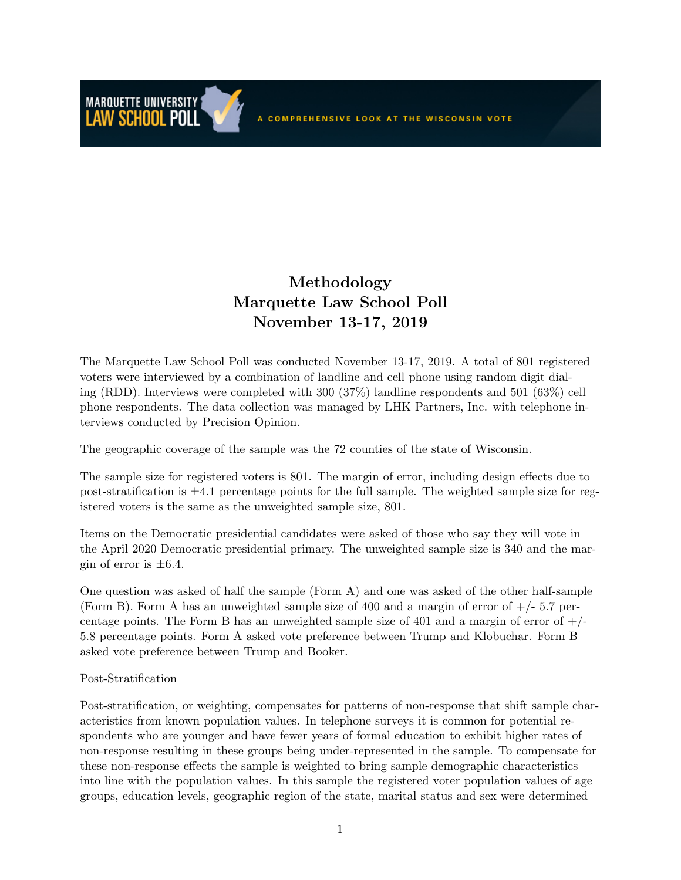A COMPREHENSIVE LOOK AT THE WISCONSIN VOTE

## Methodology Marquette Law School Poll November 13-17, 2019

The Marquette Law School Poll was conducted November 13-17, 2019. A total of 801 registered voters were interviewed by a combination of landline and cell phone using random digit dialing (RDD). Interviews were completed with 300 (37%) landline respondents and 501 (63%) cell phone respondents. The data collection was managed by LHK Partners, Inc. with telephone interviews conducted by Precision Opinion.

The geographic coverage of the sample was the 72 counties of the state of Wisconsin.

The sample size for registered voters is 801. The margin of error, including design effects due to post-stratification is  $\pm 4.1$  percentage points for the full sample. The weighted sample size for registered voters is the same as the unweighted sample size, 801.

Items on the Democratic presidential candidates were asked of those who say they will vote in the April 2020 Democratic presidential primary. The unweighted sample size is 340 and the margin of error is  $\pm 6.4$ .

One question was asked of half the sample (Form A) and one was asked of the other half-sample (Form B). Form A has an unweighted sample size of 400 and a margin of error of  $+/- 5.7$  percentage points. The Form B has an unweighted sample size of 401 and a margin of error of  $+/-$ 5.8 percentage points. Form A asked vote preference between Trump and Klobuchar. Form B asked vote preference between Trump and Booker.

## Post-Stratification

**MARQUETTE UNIVERSITY** LAW SCHOOL POLL

Post-stratification, or weighting, compensates for patterns of non-response that shift sample characteristics from known population values. In telephone surveys it is common for potential respondents who are younger and have fewer years of formal education to exhibit higher rates of non-response resulting in these groups being under-represented in the sample. To compensate for these non-response effects the sample is weighted to bring sample demographic characteristics into line with the population values. In this sample the registered voter population values of age groups, education levels, geographic region of the state, marital status and sex were determined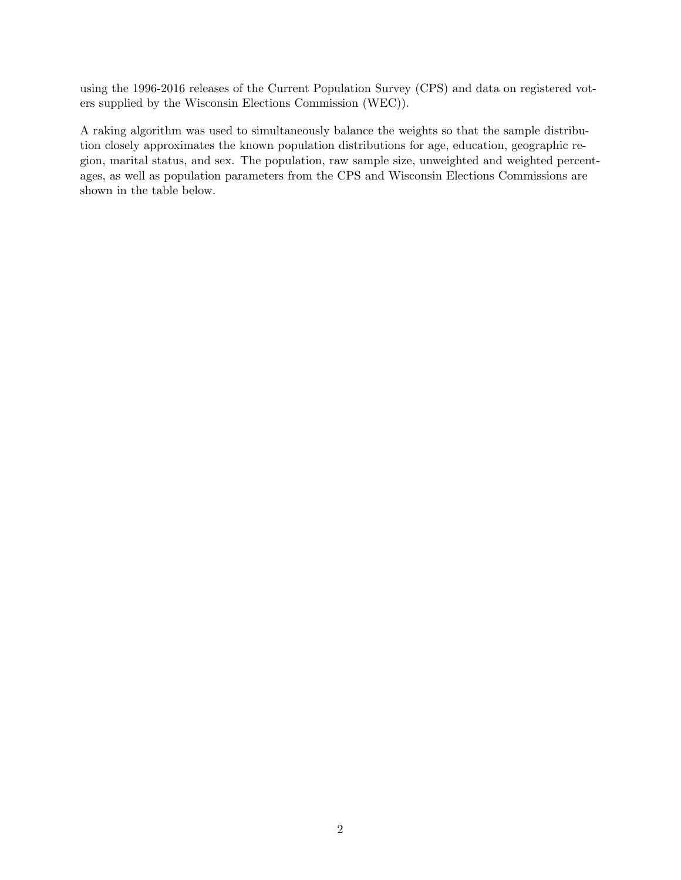using the 1996-2016 releases of the Current Population Survey (CPS) and data on registered voters supplied by the Wisconsin Elections Commission (WEC)).

A raking algorithm was used to simultaneously balance the weights so that the sample distribution closely approximates the known population distributions for age, education, geographic region, marital status, and sex. The population, raw sample size, unweighted and weighted percentages, as well as population parameters from the CPS and Wisconsin Elections Commissions are shown in the table below.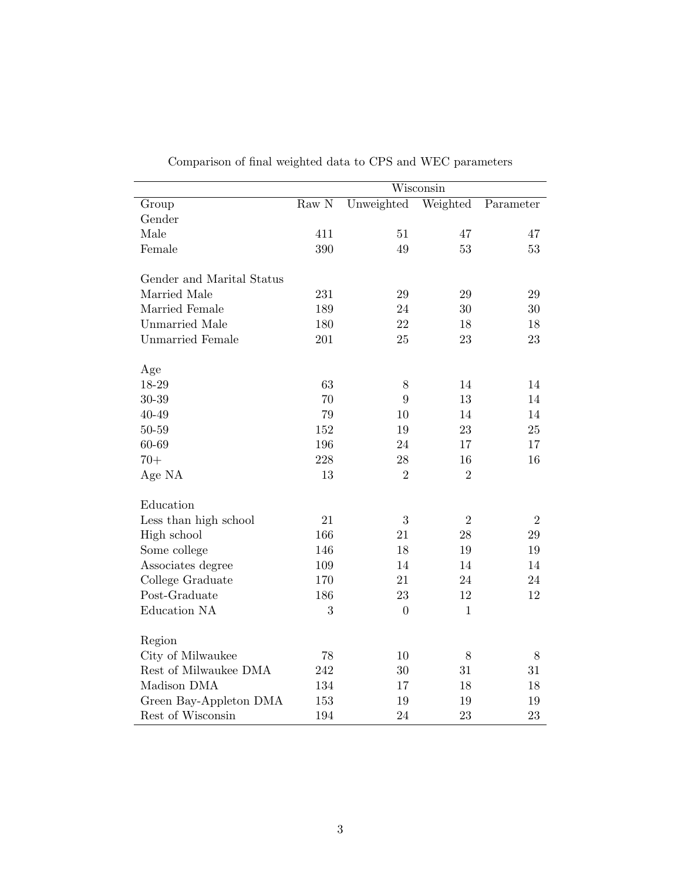|                           | $\overline{\text{W}}$ isconsin |                  |                |            |
|---------------------------|--------------------------------|------------------|----------------|------------|
| Group                     | Raw N                          | Unweighted       | Weighted       | Parameter  |
| Gender                    |                                |                  |                |            |
| Male                      | 411                            | 51               | 47             | 47         |
| Female                    | 390                            | 49               | 53             | 53         |
| Gender and Marital Status |                                |                  |                |            |
| Married Male              | 231                            | 29               | 29             | 29         |
| Married Female            | 189                            | 24               | 30             | 30         |
| <b>Unmarried Male</b>     | 180                            | 22               | 18             | 18         |
| <b>Unmarried Female</b>   | 201                            | 25               | 23             | $23\,$     |
| Age                       |                                |                  |                |            |
| 18-29                     | 63                             | $8\,$            | 14             | 14         |
| 30-39                     | 70                             | 9                | 13             | 14         |
| 40-49                     | 79                             | 10               | 14             | 14         |
| 50-59                     | 152                            | $19\,$           | 23             | 25         |
| 60-69                     | 196                            | 24               | 17             | 17         |
| $70+$                     | 228                            | 28               | 16             | 16         |
| Age NA                    | 13                             | $\overline{2}$   | $\overline{2}$ |            |
| Education                 |                                |                  |                |            |
| Less than high school     | 21                             | 3                | $\overline{2}$ | $\sqrt{2}$ |
| High school               | 166                            | 21               | 28             | 29         |
| Some college              | 146                            | 18               | 19             | 19         |
| Associates degree         | 109                            | 14               | 14             | 14         |
| College Graduate          | 170                            | 21               | 24             | 24         |
| Post-Graduate             | 186                            | 23               | 12             | 12         |
| Education NA              | 3                              | $\boldsymbol{0}$ | $\mathbf{1}$   |            |
| Region                    |                                |                  |                |            |
| City of Milwaukee         | 78                             | 10               | 8              | 8          |
| Rest of Milwaukee DMA     | 242                            | 30               | 31             | 31         |
| Madison DMA               | 134                            | 17               | 18             | 18         |
| Green Bay-Appleton DMA    | 153                            | 19               | 19             | 19         |
| Rest of Wisconsin         | 194                            | 24               | 23             | 23         |

Comparison of final weighted data to CPS and WEC parameters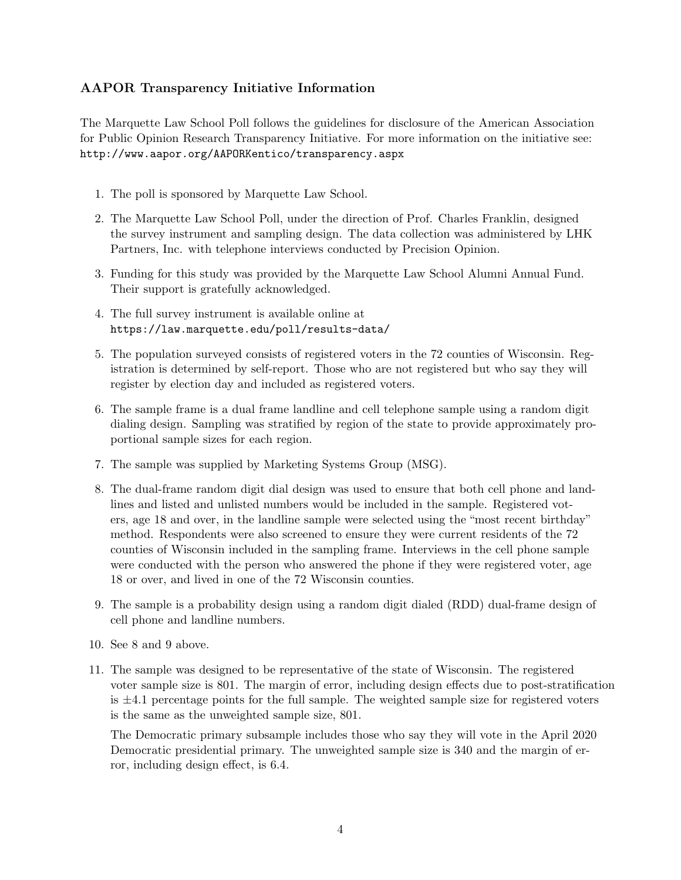## AAPOR Transparency Initiative Information

The Marquette Law School Poll follows the guidelines for disclosure of the American Association for Public Opinion Research Transparency Initiative. For more information on the initiative see: http://www.aapor.org/AAPORKentico/transparency.aspx

- 1. The poll is sponsored by Marquette Law School.
- 2. The Marquette Law School Poll, under the direction of Prof. Charles Franklin, designed the survey instrument and sampling design. The data collection was administered by LHK Partners, Inc. with telephone interviews conducted by Precision Opinion.
- 3. Funding for this study was provided by the Marquette Law School Alumni Annual Fund. Their support is gratefully acknowledged.
- 4. The full survey instrument is available online at https://law.marquette.edu/poll/results-data/
- 5. The population surveyed consists of registered voters in the 72 counties of Wisconsin. Registration is determined by self-report. Those who are not registered but who say they will register by election day and included as registered voters.
- 6. The sample frame is a dual frame landline and cell telephone sample using a random digit dialing design. Sampling was stratified by region of the state to provide approximately proportional sample sizes for each region.
- 7. The sample was supplied by Marketing Systems Group (MSG).
- 8. The dual-frame random digit dial design was used to ensure that both cell phone and landlines and listed and unlisted numbers would be included in the sample. Registered voters, age 18 and over, in the landline sample were selected using the "most recent birthday" method. Respondents were also screened to ensure they were current residents of the 72 counties of Wisconsin included in the sampling frame. Interviews in the cell phone sample were conducted with the person who answered the phone if they were registered voter, age 18 or over, and lived in one of the 72 Wisconsin counties.
- 9. The sample is a probability design using a random digit dialed (RDD) dual-frame design of cell phone and landline numbers.
- 10. See 8 and 9 above.
- 11. The sample was designed to be representative of the state of Wisconsin. The registered voter sample size is 801. The margin of error, including design effects due to post-stratification is  $\pm 4.1$  percentage points for the full sample. The weighted sample size for registered voters is the same as the unweighted sample size, 801.

The Democratic primary subsample includes those who say they will vote in the April 2020 Democratic presidential primary. The unweighted sample size is 340 and the margin of error, including design effect, is 6.4.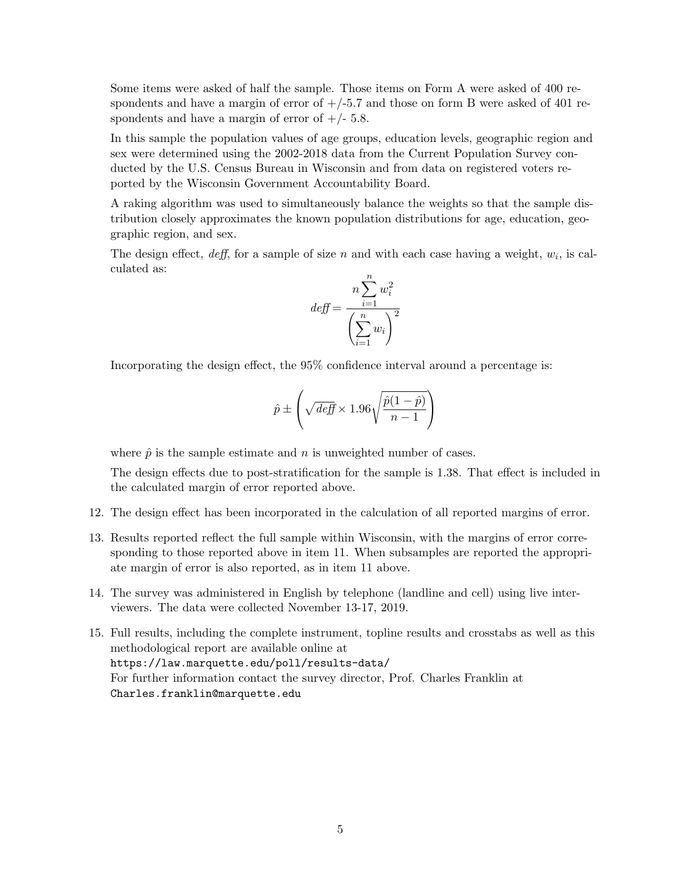Some items were asked of half the sample. Those items on Form A were asked of 400 respondents and have a margin of error of  $+/-5.7$  and those on form B were asked of 401 respondents and have a margin of error of  $+/- 5.8$ .

In this sample the population values of age groups, education levels, geographic region and sex were determined using the 2002-2018 data from the Current Population Survey conducted by the U.S. Census Bureau in Wisconsin and from data on registered voters reported by the Wisconsin Government Accountability Board.

A raking algorithm was used to simultaneously balance the weights so that the sample distribution closely approximates the known population distributions for age, education, geographic region, and sex.

The design effect,  $\text{deff}$ , for a sample of size n and with each case having a weight,  $w_i$ , is calculated as:

$$
def = \frac{n \sum_{i=1}^{n} w_i^2}{\left(\sum_{i=1}^{n} w_i\right)^2}
$$

Incorporating the design effect, the 95% confidence interval around a percentage is:

$$
\hat{p} \pm \left(\sqrt{\text{def}} \times 1.96\sqrt{\frac{\hat{p}(1-\hat{p})}{n-1}}\right)
$$

where  $\hat{p}$  is the sample estimate and n is unweighted number of cases.

The design effects due to post-stratification for the sample is 1.38. That effect is included in the calculated margin of error reported above.

- 12. The design effect has been incorporated in the calculation of all reported margins of error.
- 13. Results reported reflect the full sample within Wisconsin, with the margins of error corresponding to those reported above in item 11. When subsamples are reported the appropriate margin of error is also reported, as in item 11 above.
- 14. The survey was administered in English by telephone (landline and cell) using live interviewers. The data were collected November 13-17, 2019.
- 15. Full results, including the complete instrument, topline results and crosstabs as well as this methodological report are available online at https://law.marquette.edu/poll/results-data/ For further information contact the survey director, Prof. Charles Franklin at Charles.franklin@marquette.edu